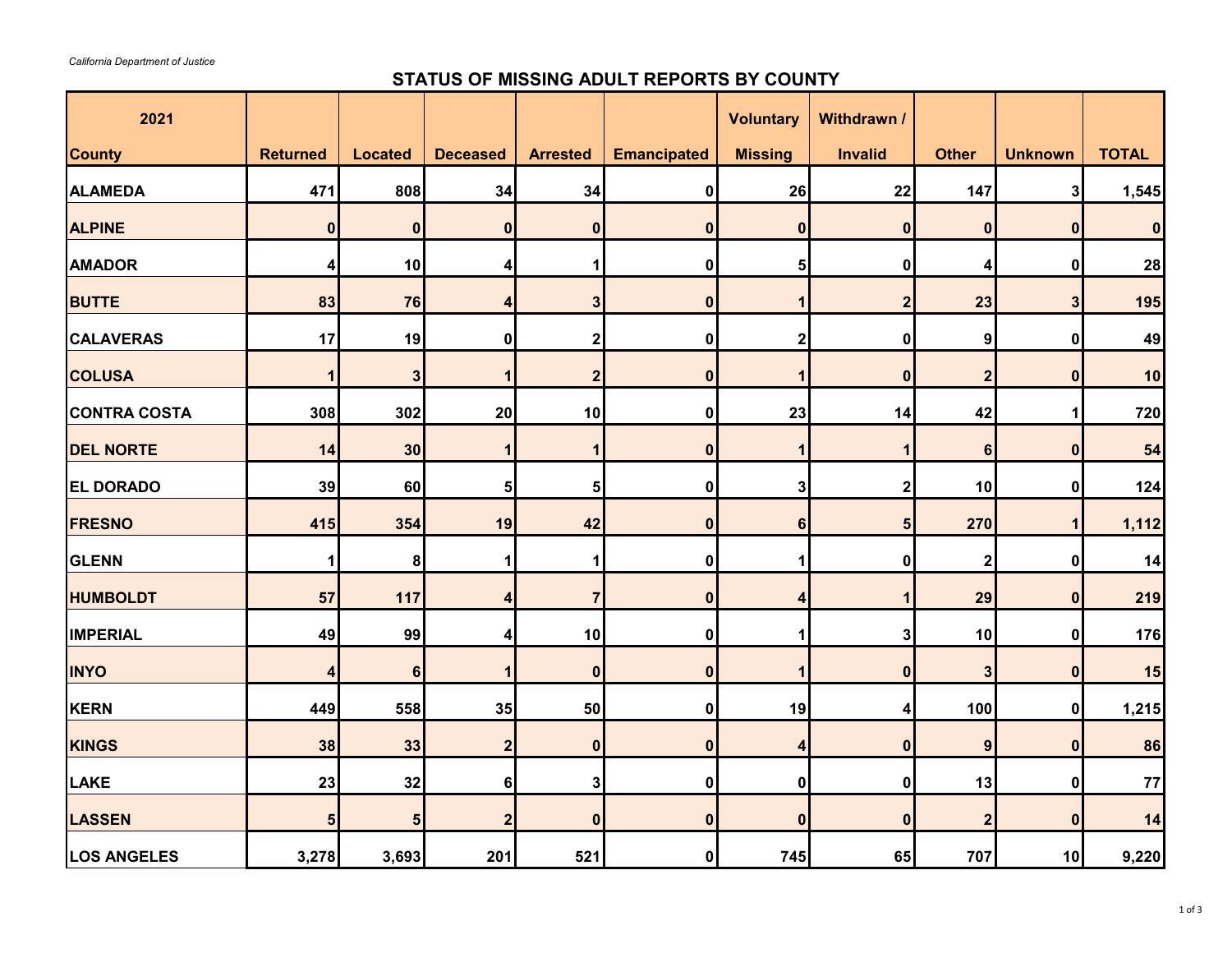## **STATUS OF MISSING ADULT REPORTS BY COUNTY**

| 2021                |                  |                         |                 |                         |                    | <b>Voluntary</b> | Withdrawn /      |                         |                  |              |
|---------------------|------------------|-------------------------|-----------------|-------------------------|--------------------|------------------|------------------|-------------------------|------------------|--------------|
| <b>County</b>       | <b>Returned</b>  | <b>Located</b>          | <b>Deceased</b> | <b>Arrested</b>         | <b>Emancipated</b> | <b>Missing</b>   | <b>Invalid</b>   | <b>Other</b>            | <b>Unknown</b>   | <b>TOTAL</b> |
| <b>ALAMEDA</b>      | 471              | 808                     | 34              | 34                      | 0                  | 26               | 22               | 147                     | $\mathbf{3}$     | 1,545        |
| <b>ALPINE</b>       | $\mathbf 0$      | $\mathbf 0$             | $\mathbf 0$     | $\bf{0}$                | $\bf{0}$           | $\bf{0}$         | $\bf{0}$         | $\bf{0}$                | $\bf{0}$         | $\bf{0}$     |
| <b>AMADOR</b>       | 4                | 10                      | 4               | 1                       | $\mathbf 0$        | 5                | $\pmb{0}$        | 4                       | 0                | 28           |
| <b>BUTTE</b>        | 83               | 76                      | 4               | $\overline{\mathbf{3}}$ | 0                  | $\mathbf 1$      | $\overline{2}$   | 23                      | $\mathbf{3}$     | 195          |
| <b>CALAVERAS</b>    | 17               | 19                      | $\mathbf 0$     | $\overline{\mathbf{2}}$ | 0                  | $\mathbf 2$      | $\mathbf 0$      | $\boldsymbol{9}$        | 0                | 49           |
| <b>COLUSA</b>       | 1                | $\overline{\mathbf{3}}$ | 1               | $\overline{\mathbf{2}}$ | 0                  | 1                | $\boldsymbol{0}$ | $\overline{\mathbf{2}}$ | $\boldsymbol{0}$ | 10           |
| <b>CONTRA COSTA</b> | 308              | 302                     | 20              | 10                      | 0                  | 23               | 14               | 42                      | 1                | 720          |
| <b>DEL NORTE</b>    | 14               | 30                      | 1               | 1                       | $\mathbf{0}$       | 1                |                  | $6\phantom{1}6$         | $\bf{0}$         | 54           |
| <b>EL DORADO</b>    | 39               | 60                      | $\sqrt{5}$      | $\sqrt{5}$              | 0                  | 3 <sup>1</sup>   | $\mathbf{2}$     | 10                      | 0                | 124          |
| <b>FRESNO</b>       | 415              | 354                     | 19              | 42                      | $\mathbf 0$        | 6                | $5\overline{5}$  | 270                     | $\mathbf 1$      | 1,112        |
| <b>GLENN</b>        | 1                | 8                       | 1               | 1                       | $\mathbf 0$        | 1                | $\pmb{0}$        | $\overline{\mathbf{2}}$ | 0                | 14           |
| <b>HUMBOLDT</b>     | 57               | 117                     | 4               | $\overline{7}$          | 0                  | 4                |                  | 29                      | $\bf{0}$         | 219          |
| <b>IMPERIAL</b>     | 49               | 99                      | 4               | 10                      | 0                  | 1                | $\mathbf{3}$     | 10                      | 0                | 176          |
| <b>INYO</b>         | $\boldsymbol{4}$ | $6\phantom{a}$          | 1               | $\bf{0}$                | $\mathbf{0}$       | 1                | $\bf{0}$         | $\mathbf{3}$            | $\bf{0}$         | 15           |
| <b>KERN</b>         | 449              | 558                     | 35              | 50                      | 0                  | 19               | 4                | 100                     | $\mathbf 0$      | 1,215        |
| <b>KINGS</b>        | 38               | 33                      | $\overline{2}$  | $\mathbf 0$             | $\mathbf{0}$       | 4                | $\mathbf 0$      | 9                       | $\bf{0}$         | 86           |
| <b>LAKE</b>         | 23               | 32                      | $\bf 6$         | 3                       | 0                  | 0                | $\pmb{0}$        | 13                      | $\bf{0}$         | 77           |
| <b>LASSEN</b>       | $5\phantom{1}$   | $5\overline{)}$         | $\overline{2}$  | $\mathbf 0$             | $\mathbf 0$        | $\bf{0}$         | $\bf{0}$         | $\overline{2}$          | $\bf{0}$         | 14           |
| <b>LOS ANGELES</b>  | 3,278            | 3,693                   | 201             | 521                     | $\mathbf{0}$       | 745              | 65               | 707                     | 10               | 9,220        |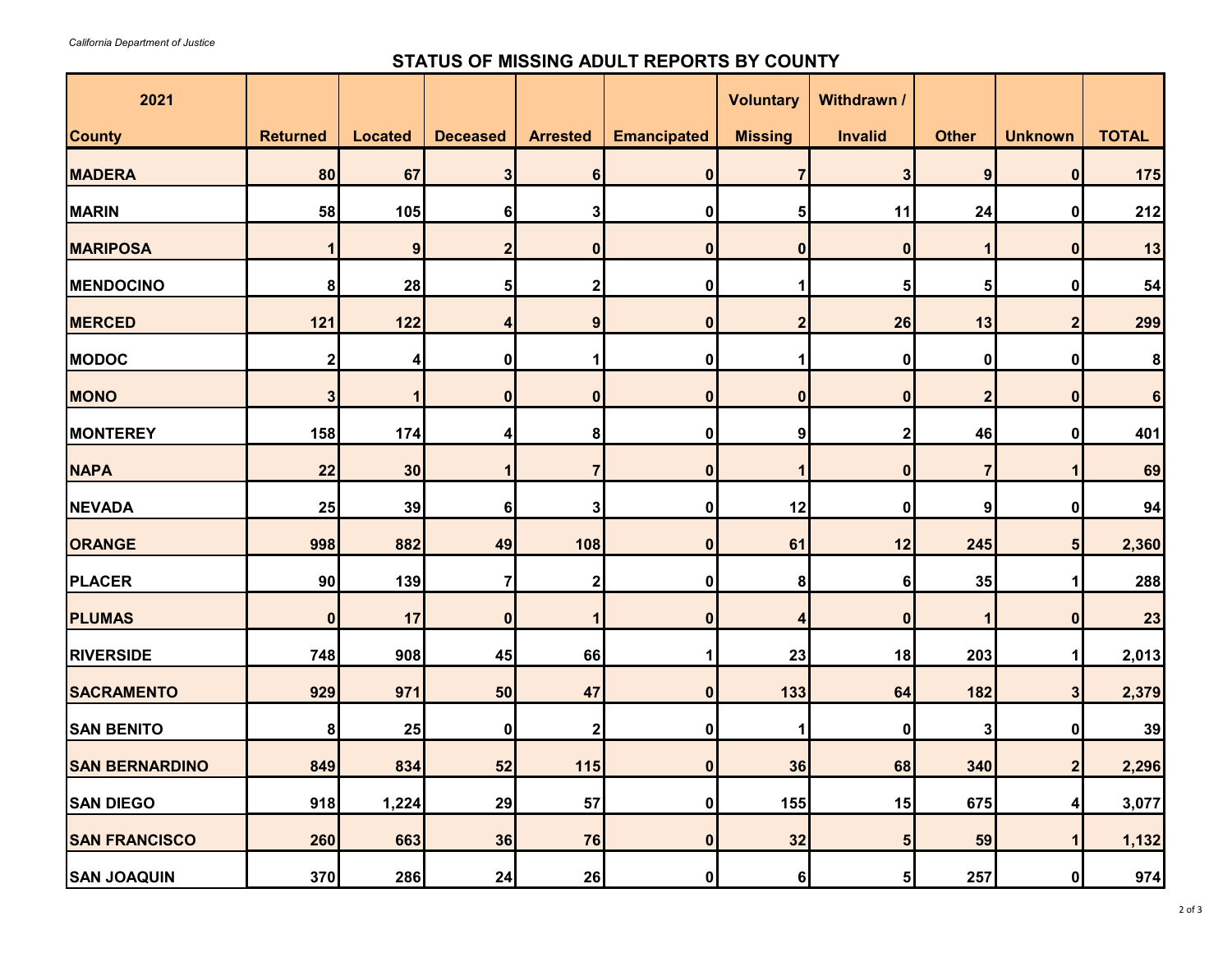## **STATUS OF MISSING ADULT REPORTS BY COUNTY**

| 2021                  |                 |                |                  |                         |                    | <b>Voluntary</b> | Withdrawn /    |                |                         |                 |
|-----------------------|-----------------|----------------|------------------|-------------------------|--------------------|------------------|----------------|----------------|-------------------------|-----------------|
| <b>County</b>         | <b>Returned</b> | <b>Located</b> | <b>Deceased</b>  | <b>Arrested</b>         | <b>Emancipated</b> | <b>Missing</b>   | <b>Invalid</b> | <b>Other</b>   | <b>Unknown</b>          | <b>TOTAL</b>    |
| <b>MADERA</b>         | 80              | 67             | 3                | 6                       | $\bf{0}$           | 7                | 3              | 9              | $\mathbf 0$             | 175             |
| <b>MARIN</b>          | 58              | 105            | 6                | 3                       | 0                  | 5                | 11             | 24             | 0                       | 212             |
| <b>MARIPOSA</b>       |                 | 9              | $\mathbf{2}$     | $\boldsymbol{0}$        | $\bf{0}$           | 0                | 0              |                | $\bf{0}$                | 13              |
| <b>MENDOCINO</b>      | 8               | 28             | 5 <sub>l</sub>   | 2                       | 0                  |                  | 5              | 5              | 0                       | 54              |
| <b>MERCED</b>         | 121             | 122            | 4                | $\boldsymbol{9}$        | $\bf{0}$           | $\overline{2}$   | 26             | 13             | $\overline{\mathbf{2}}$ | 299             |
| <b>MODOC</b>          | $\mathbf{2}$    | 4              | 0                |                         | 0                  |                  | 0              | 0              | 0                       | 8               |
| <b>MONO</b>           | 3               |                | 0                | 0                       | $\bf{0}$           | $\bf{0}$         | 0              | $\overline{2}$ | $\boldsymbol{0}$        | $6\phantom{1}6$ |
| <b>MONTEREY</b>       | 158             | 174            |                  | 8                       | 0                  | 9                | 2              | 46             | 0                       | 401             |
| <b>NAPA</b>           | 22              | 30             | 1                | 7                       | $\bf{0}$           |                  | 0              | 7              |                         | 69              |
| <b>NEVADA</b>         | 25              | 39             | 6                | 3                       | 0                  | 12               | 0              | 9              | 0                       | 94              |
| <b>ORANGE</b>         | 998             | 882            | 49               | 108                     | $\mathbf{0}$       | 61               | 12             | 245            | 5 <sub>5</sub>          | 2,360           |
| <b>PLACER</b>         | 90              | 139            | 7                | $\overline{\mathbf{c}}$ | 0                  | 8                | 6              | 35             | 1                       | 288             |
| <b>PLUMAS</b>         | $\pmb{0}$       | 17             | $\boldsymbol{0}$ | 1                       | $\bf{0}$           | 4                | $\bf{0}$       | 1              | $\mathbf 0$             | 23              |
| <b>RIVERSIDE</b>      | 748             | 908            | 45               | 66                      | 1                  | 23               | 18             | 203            | 1                       | 2,013           |
| <b>SACRAMENTO</b>     | 929             | 971            | 50               | 47                      | $\bf{0}$           | 133              | 64             | 182            | 3                       | 2,379           |
| <b>SAN BENITO</b>     | 8               | 25             | 0                | $\mathbf{2}$            | 0                  | 1                | 0              | 3              | 0                       | 39              |
| <b>SAN BERNARDINO</b> | 849             | 834            | 52               | $115$                   | $\mathbf{0}$       | 36               | 68             | 340            | 2 <sub>l</sub>          | 2,296           |
| <b>SAN DIEGO</b>      | 918             | 1,224          | 29               | 57                      | 0                  | 155              | 15             | 675            | 4                       | 3,077           |
| <b>SAN FRANCISCO</b>  | 260             | 663            | 36               | 76                      | $\mathbf{0}$       | 32               | 5              | 59             | 1                       | 1,132           |
| <b>SAN JOAQUIN</b>    | 370             | 286            | 24               | 26                      | 0                  | 6                | 5              | 257            | 0                       | 974             |